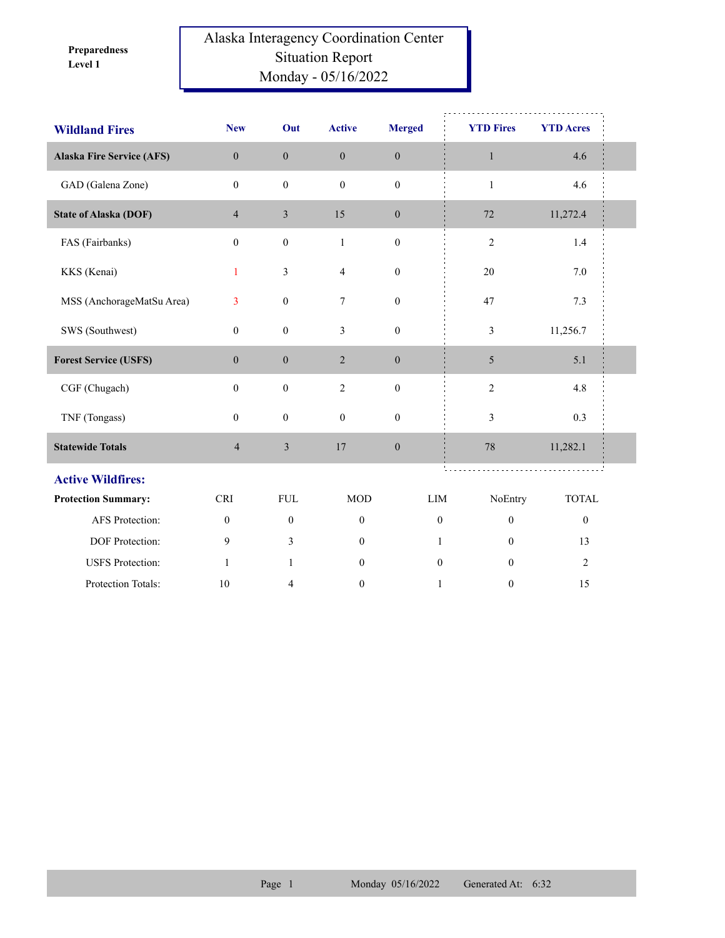**Level 1 Preparedness** 

## Alaska Interagency Coordination Center Situation Report Monday - 05/16/2022

| <b>Wildland Fires</b>            | <b>New</b>       | Out              | <b>Active</b>    | <b>Merged</b>    | <b>YTD Fires</b> | <b>YTD Acres</b> |  |  |
|----------------------------------|------------------|------------------|------------------|------------------|------------------|------------------|--|--|
| <b>Alaska Fire Service (AFS)</b> | $\overline{0}$   | $\mathbf{0}$     | $\mathbf{0}$     | $\mathbf{0}$     | $\mathbf{1}$     | 4.6              |  |  |
| GAD (Galena Zone)                | $\mathbf{0}$     | $\boldsymbol{0}$ | $\mathbf{0}$     | $\boldsymbol{0}$ | $\mathbf{1}$     | 4.6              |  |  |
| <b>State of Alaska (DOF)</b>     | $\overline{4}$   | $\mathfrak{Z}$   | 15               | $\boldsymbol{0}$ | 72               | 11,272.4         |  |  |
| FAS (Fairbanks)                  | $\boldsymbol{0}$ | $\boldsymbol{0}$ | $\mathbf{1}$     | $\boldsymbol{0}$ | $\mathfrak{2}$   | $1.4\,$          |  |  |
| KKS (Kenai)                      | 1                | $\mathfrak{Z}$   | $\overline{4}$   | $\boldsymbol{0}$ | 20               | 7.0              |  |  |
| MSS (AnchorageMatSu Area)        | 3                | $\boldsymbol{0}$ | 7                | $\boldsymbol{0}$ | 47               | 7.3              |  |  |
| SWS (Southwest)                  | $\boldsymbol{0}$ | $\boldsymbol{0}$ | 3                | $\boldsymbol{0}$ | 3                | 11,256.7         |  |  |
| <b>Forest Service (USFS)</b>     | $\mathbf{0}$     | $\boldsymbol{0}$ | $\overline{2}$   | $\boldsymbol{0}$ | $\mathfrak{S}$   | 5.1              |  |  |
| CGF (Chugach)                    | $\boldsymbol{0}$ | $\boldsymbol{0}$ | $\overline{2}$   | $\boldsymbol{0}$ | $\sqrt{2}$       | 4.8              |  |  |
| TNF (Tongass)                    | $\overline{0}$   | $\boldsymbol{0}$ | $\boldsymbol{0}$ | $\boldsymbol{0}$ | 3                | 0.3              |  |  |
| <b>Statewide Totals</b>          | $\overline{4}$   | $\mathfrak{Z}$   | 17               | $\boldsymbol{0}$ | 78               | 11,282.1         |  |  |
| <b>Active Wildfires:</b>         |                  |                  |                  |                  |                  |                  |  |  |
| <b>Protection Summary:</b>       | <b>CRI</b>       | ${\rm FUL}$      | <b>MOD</b>       | LIM              | NoEntry          | <b>TOTAL</b>     |  |  |
| AFS Protection:                  | $\boldsymbol{0}$ | $\boldsymbol{0}$ | $\boldsymbol{0}$ | $\boldsymbol{0}$ | $\boldsymbol{0}$ | $\boldsymbol{0}$ |  |  |
| DOF Protection:                  | 9                | 3                | $\mathbf{0}$     | 1                | $\mathbf{0}$     | 13               |  |  |
| <b>USFS</b> Protection:          | $\mathbf{1}$     | $\mathbf{1}$     | $\mathbf{0}$     | $\mathbf{0}$     | $\theta$         | $\overline{2}$   |  |  |
| Protection Totals:               | 10               | 4                | $\mathbf{0}$     | $\mathbf{1}$     | $\mathbf{0}$     | 15               |  |  |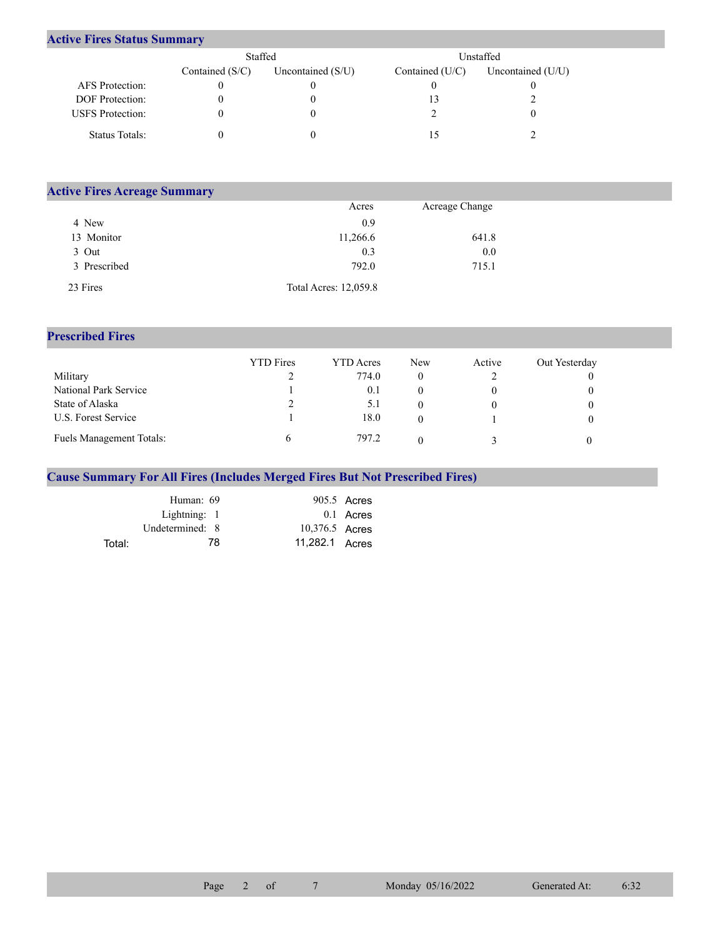## **Active Fires Status Summary**

|                         | Staffed           |                     | Unstaffed       |                     |  |  |
|-------------------------|-------------------|---------------------|-----------------|---------------------|--|--|
|                         | Contained $(S/C)$ | Uncontained $(S/U)$ | Contained (U/C) | Uncontained $(U/U)$ |  |  |
| AFS Protection:         |                   |                     |                 |                     |  |  |
| <b>DOF</b> Protection:  |                   |                     |                 |                     |  |  |
| <b>USFS</b> Protection: |                   |                     |                 |                     |  |  |
| Status Totals:          |                   |                     |                 |                     |  |  |

| <b>Active Fires Acreage Summary</b> |                       |                |  |
|-------------------------------------|-----------------------|----------------|--|
|                                     | Acres                 | Acreage Change |  |
| 4 New                               | 0.9                   |                |  |
| 13 Monitor                          | 11,266.6              | 641.8          |  |
| 3 Out                               | 0.3                   | 0.0            |  |
| 3 Prescribed                        | 792.0                 | 715.1          |  |
| 23 Fires                            | Total Acres: 12,059.8 |                |  |

## **Prescribed Fires**

|                                 | <b>YTD</b> Fires | <b>YTD</b> Acres | <b>New</b> | Active | Out Yesterday |
|---------------------------------|------------------|------------------|------------|--------|---------------|
| Military                        |                  | 774.0            |            |        |               |
| National Park Service           |                  | 0.1              |            |        |               |
| State of Alaska                 |                  | 5.1              |            |        |               |
| U.S. Forest Service             |                  | 18.0             |            |        |               |
| <b>Fuels Management Totals:</b> |                  | 797.2            |            |        |               |

## **Cause Summary For All Fires (Includes Merged Fires But Not Prescribed Fires)**

|        | Human: 69       |                | 905.5 Acres |
|--------|-----------------|----------------|-------------|
|        | Lightning: 1    |                | 0.1 Acres   |
|        | Undetermined: 8 | 10,376.5 Acres |             |
| Total: | 78              | 11,282.1 Acres |             |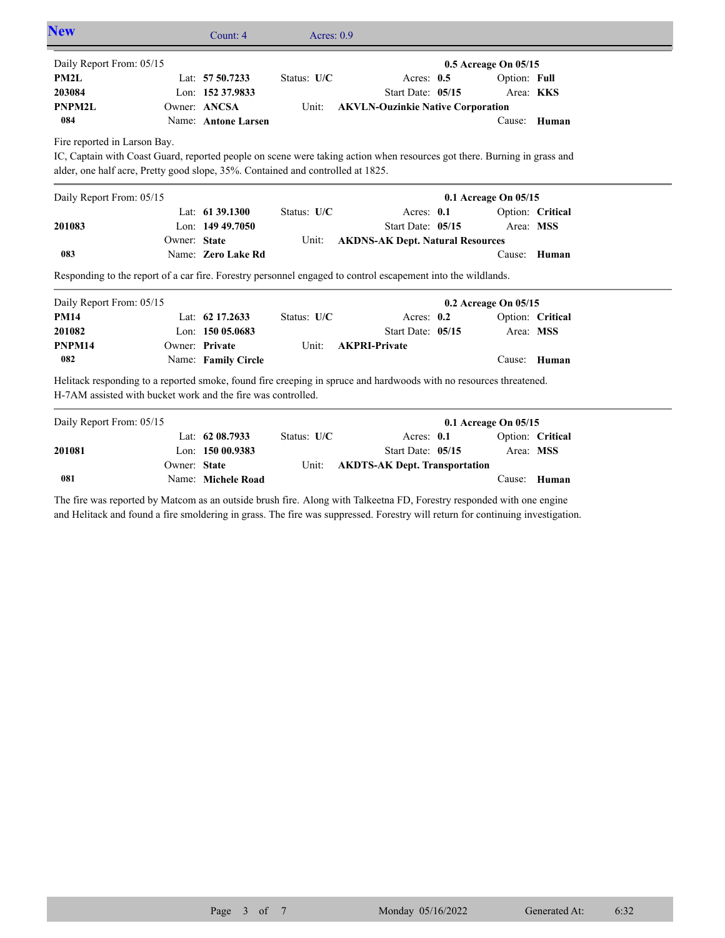| <b>New</b>                                                                      |              | Count: 4            | Acres: $0.9$ |                                                                                                                          |                      |                  |  |
|---------------------------------------------------------------------------------|--------------|---------------------|--------------|--------------------------------------------------------------------------------------------------------------------------|----------------------|------------------|--|
| Daily Report From: 05/15                                                        |              |                     |              |                                                                                                                          | 0.5 Acreage On 05/15 |                  |  |
| PM <sub>2</sub> L                                                               |              | Lat: 57 50.7233     | Status: U/C  | Acres: 0.5                                                                                                               | Option: Full         |                  |  |
| 203084                                                                          |              | Lon: 152 37.9833    |              | Start Date: 05/15                                                                                                        |                      | Area: KKS        |  |
| <b>PNPM2L</b>                                                                   |              | Owner: ANCSA        | Unit:        | <b>AKVLN-Ouzinkie Native Corporation</b>                                                                                 |                      |                  |  |
| 084                                                                             |              | Name: Antone Larsen |              |                                                                                                                          |                      | Cause: Human     |  |
| Fire reported in Larson Bay.                                                    |              |                     |              |                                                                                                                          |                      |                  |  |
|                                                                                 |              |                     |              | IC, Captain with Coast Guard, reported people on scene were taking action when resources got there. Burning in grass and |                      |                  |  |
| alder, one half acre, Pretty good slope, 35%. Contained and controlled at 1825. |              |                     |              |                                                                                                                          |                      |                  |  |
| Daily Report From: 05/15                                                        |              |                     |              |                                                                                                                          | 0.1 Acreage On 05/15 |                  |  |
|                                                                                 |              | Lat: 61 39.1300     | Status: U/C  | Acres: 0.1                                                                                                               |                      | Option: Critical |  |
| 201083                                                                          |              | Lon: $14949.7050$   |              | Start Date: 05/15                                                                                                        | Area: MSS            |                  |  |
|                                                                                 | Owner: State |                     | Unit:        | <b>AKDNS-AK Dept. Natural Resources</b>                                                                                  |                      |                  |  |
| 083                                                                             |              | Name: Zero Lake Rd  |              |                                                                                                                          |                      | Cause: Human     |  |
|                                                                                 |              |                     |              | Responding to the report of a car fire. Forestry personnel engaged to control escapement into the wildlands.             |                      |                  |  |
| Daily Report From: 05/15                                                        |              |                     |              |                                                                                                                          | 0.2 Acreage On 05/15 |                  |  |
| <b>PM14</b>                                                                     |              | Lat: 62 17.2633     | Status: U/C  | Acres: $0.2$                                                                                                             |                      | Option: Critical |  |
| 201082                                                                          |              | Lon: $15005.0683$   |              | Start Date: 05/15                                                                                                        |                      | Area: MSS        |  |
| PNPM14                                                                          |              | Owner: Private      | Unit:        | <b>AKPRI-Private</b>                                                                                                     |                      |                  |  |
| 082                                                                             |              | Name: Family Circle |              |                                                                                                                          |                      | Cause: Human     |  |
| H-7AM assisted with bucket work and the fire was controlled.                    |              |                     |              | Helitack responding to a reported smoke, found fire creeping in spruce and hardwoods with no resources threatened.       |                      |                  |  |
| Daily Report From: 05/15                                                        |              |                     |              |                                                                                                                          | 0.1 Acreage On 05/15 |                  |  |
|                                                                                 |              | Lat: 62 08.7933     | Status: U/C  | Acres: 0.1                                                                                                               |                      | Option: Critical |  |
| 201081                                                                          |              | Lon: $15000.9383$   |              | Start Date: 05/15                                                                                                        | Area: MSS            |                  |  |
|                                                                                 | Owner: State |                     | Unit:        | <b>AKDTS-AK Dept. Transportation</b>                                                                                     |                      |                  |  |
| 081                                                                             |              | Name: Michele Road  |              |                                                                                                                          | Cause:               | Human            |  |

The fire was reported by Matcom as an outside brush fire. Along with Talkeetna FD, Forestry responded with one engine and Helitack and found a fire smoldering in grass. The fire was suppressed. Forestry will return for continuing investigation.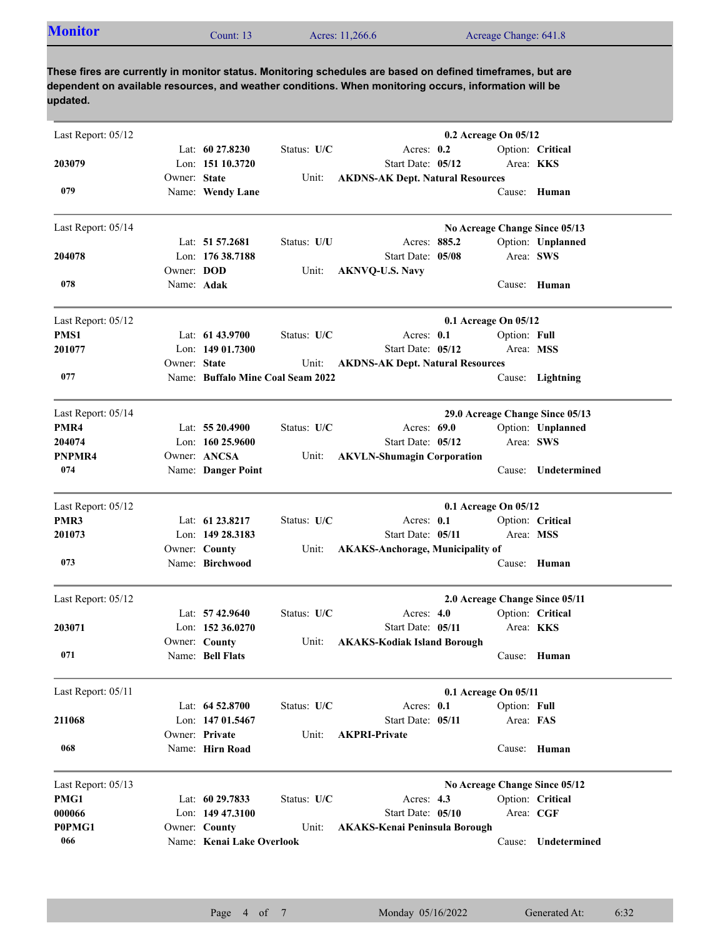| <b>Monitor</b><br>Count: 13 | Acres: 11,266.6 | Acreage Change: 641.8 |  |
|-----------------------------|-----------------|-----------------------|--|
|-----------------------------|-----------------|-----------------------|--|

**These fires are currently in monitor status. Monitoring schedules are based on defined timeframes, but are dependent on available resources, and weather conditions. When monitoring occurs, information will be updated.**

| Last Report: 05/12 |              |                                   |             |                                         | 0.2 Acreage On 05/12 |                  |                                 |
|--------------------|--------------|-----------------------------------|-------------|-----------------------------------------|----------------------|------------------|---------------------------------|
|                    |              | Lat: 60 27.8230                   | Status: U/C | Acres: 0.2                              |                      |                  | Option: Critical                |
| 203079             |              | Lon: 151 10.3720                  |             | Start Date: 05/12                       |                      | Area: <b>KKS</b> |                                 |
| 079                | Owner: State | Name: Wendy Lane                  | Unit:       | <b>AKDNS-AK Dept. Natural Resources</b> |                      |                  | Cause: Human                    |
| Last Report: 05/14 |              |                                   |             |                                         |                      |                  | No Acreage Change Since 05/13   |
|                    |              | Lat: $51\,57.2681$                | Status: U/U | Acres: 885.2                            |                      |                  | Option: Unplanned               |
| 204078             |              | Lon: 176 38.7188                  |             | Start Date: 05/08                       |                      | Area: SWS        |                                 |
|                    | Owner: DOD   |                                   | Unit:       | <b>AKNVQ-U.S. Navy</b>                  |                      |                  |                                 |
| 078                | Name: Adak   |                                   |             |                                         |                      |                  | Cause: Human                    |
| Last Report: 05/12 |              |                                   |             |                                         | 0.1 Acreage On 05/12 |                  |                                 |
| PMS1               |              | Lat: $61\,43.9700$                | Status: U/C | Acres: 0.1                              |                      | Option: Full     |                                 |
| 201077             |              | Lon: $14901.7300$                 |             | Start Date: 05/12                       |                      | Area: MSS        |                                 |
|                    | Owner: State |                                   | Unit:       | <b>AKDNS-AK Dept. Natural Resources</b> |                      |                  |                                 |
| 077                |              | Name: Buffalo Mine Coal Seam 2022 |             |                                         |                      |                  | Cause: Lightning                |
| Last Report: 05/14 |              |                                   |             |                                         |                      |                  | 29.0 Acreage Change Since 05/13 |
| PMR4               |              | Lat: $5520.4900$                  | Status: U/C | Acres: 69.0                             |                      |                  | Option: Unplanned               |
| 204074             |              | Lon: $16025.9600$                 |             | Start Date: 05/12                       |                      | Area: SWS        |                                 |
| PNPMR4             |              | Owner: ANCSA                      | Unit:       | <b>AKVLN-Shumagin Corporation</b>       |                      |                  |                                 |
| 074                |              | Name: Danger Point                |             |                                         |                      | Cause:           | Undetermined                    |
| Last Report: 05/12 |              |                                   |             |                                         | 0.1 Acreage On 05/12 |                  |                                 |
| PMR3               |              | Lat: 61 23.8217                   | Status: U/C | Acres: 0.1                              |                      |                  | Option: Critical                |
| 201073             |              | Lon: 149 28.3183                  |             | Start Date: 05/11                       |                      | Area: MSS        |                                 |
|                    |              | Owner: County                     | Unit:       | <b>AKAKS-Anchorage, Municipality of</b> |                      |                  |                                 |
| 073                |              | Name: Birchwood                   |             |                                         |                      |                  | Cause: Human                    |
| Last Report: 05/12 |              |                                   |             |                                         |                      |                  | 2.0 Acreage Change Since 05/11  |
|                    |              | Lat: $57\,42.9640$                | Status: U/C | Acres: $4.0$                            |                      |                  | Option: Critical                |
| 203071             |              | Lon: $152\,36.0270$               |             | Start Date: 05/11                       |                      | Area: <b>KKS</b> |                                 |
|                    |              | Owner: County                     | Unit:       | <b>AKAKS-Kodiak Island Borough</b>      |                      |                  |                                 |
| 071                |              | Name: Bell Flats                  |             |                                         |                      |                  | Cause: Human                    |
| Last Report: 05/11 |              |                                   |             |                                         | 0.1 Acreage On 05/11 |                  |                                 |
|                    |              | Lat: $64\,52.8700$                | Status: U/C | Acres: 0.1                              |                      | Option: Full     |                                 |
| 211068             |              | Lon: 147 01.5467                  |             | Start Date: 05/11                       |                      | Area: FAS        |                                 |
|                    |              | Owner: Private                    | Unit:       | <b>AKPRI-Private</b>                    |                      |                  |                                 |
| 068                |              | Name: Hirn Road                   |             |                                         |                      |                  | Cause: Human                    |
| Last Report: 05/13 |              |                                   |             |                                         |                      |                  | No Acreage Change Since 05/12   |
| PMG1               |              | Lat: 60 29.7833                   | Status: U/C | Acres: 4.3                              |                      |                  | Option: Critical                |
| 000066             |              | Lon: 149 47.3100                  |             | Start Date: 05/10                       |                      | Area: CGF        |                                 |
| P0PMG1             |              | Owner: County                     | Unit:       | <b>AKAKS-Kenai Peninsula Borough</b>    |                      |                  |                                 |
| 066                |              | Name: Kenai Lake Overlook         |             |                                         |                      | Cause:           | Undetermined                    |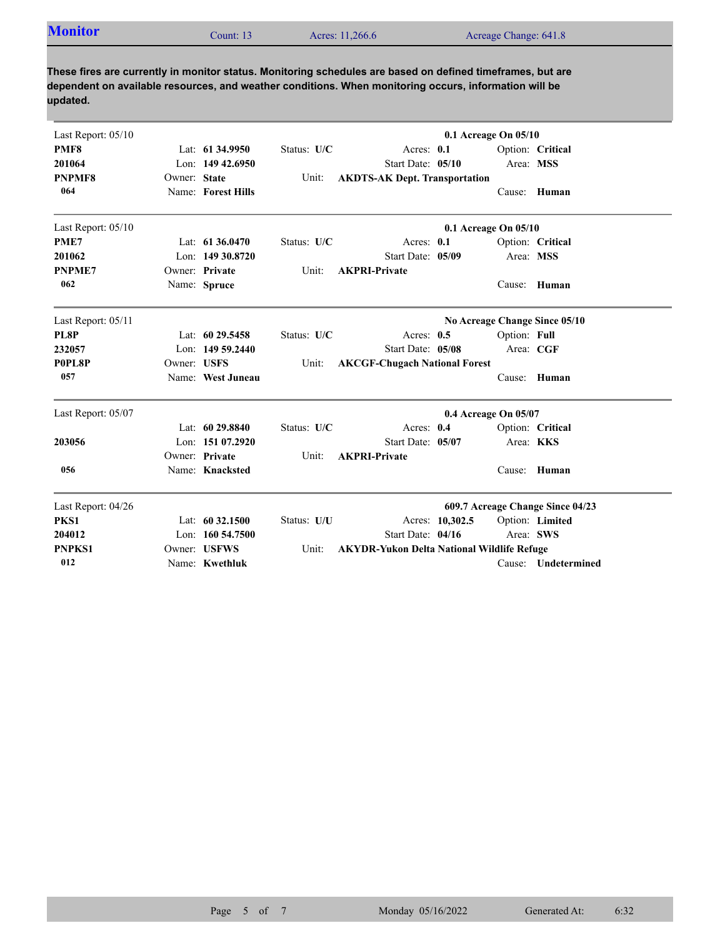| <b>Monitor</b> | `ount: 13 | Acres: 11,266.6 | Acreage Change: 641.8 |
|----------------|-----------|-----------------|-----------------------|

**These fires are currently in monitor status. Monitoring schedules are based on defined timeframes, but are dependent on available resources, and weather conditions. When monitoring occurs, information will be updated.**

| Last Report: 05/10 |              |                     |             |                                                   |                 | $0.1$ Acreage On $05/10$ |                                  |
|--------------------|--------------|---------------------|-------------|---------------------------------------------------|-----------------|--------------------------|----------------------------------|
| PMF8               |              | Lat: 61 34.9950     | Status: U/C | Acres: 0.1                                        |                 |                          | Option: Critical                 |
| 201064             |              | Lon: 149 42.6950    |             | Start Date: 05/10                                 |                 |                          | Area: MSS                        |
| <b>PNPMF8</b>      | Owner: State |                     | Unit:       | <b>AKDTS-AK Dept. Transportation</b>              |                 |                          |                                  |
| 064                |              | Name: Forest Hills  |             |                                                   |                 | Cause:                   | Human                            |
| Last Report: 05/10 |              |                     |             |                                                   |                 | 0.1 Acreage On 05/10     |                                  |
| PME7               |              | Lat: 61 36.0470     | Status: U/C | Acres: 0.1                                        |                 |                          | Option: Critical                 |
| 201062             |              | Lon: 149 30.8720    |             | Start Date: 05/09                                 |                 |                          | Area: MSS                        |
| <b>PNPME7</b>      |              | Owner: Private      | Unit:       | <b>AKPRI-Private</b>                              |                 |                          |                                  |
| 062                |              | Name: Spruce        |             |                                                   |                 | Cause:                   | Human                            |
| Last Report: 05/11 |              |                     |             |                                                   |                 |                          | No Acreage Change Since 05/10    |
| PL8P               |              | Lat: 60 29.5458     | Status: U/C | Acres: $0.5$                                      |                 | Option: Full             |                                  |
| 232057             |              | Lon: 149 59.2440    |             | Start Date: 05/08                                 |                 |                          | Area: CGF                        |
| P0PL8P             | Owner: USFS  |                     | Unit:       | <b>AKCGF-Chugach National Forest</b>              |                 |                          |                                  |
| 057                |              | Name: West Juneau   |             |                                                   |                 | Cause:                   | Human                            |
| Last Report: 05/07 |              |                     |             |                                                   |                 | 0.4 Acreage On 05/07     |                                  |
|                    |              | Lat: $6029.8840$    | Status: U/C | Acres: 0.4                                        |                 |                          | Option: Critical                 |
| 203056             |              | Lon: 151 07.2920    |             | Start Date: 05/07                                 |                 |                          | Area: KKS                        |
|                    |              | Owner: Private      | Unit:       | <b>AKPRI-Private</b>                              |                 |                          |                                  |
| 056                |              | Name: Knacksted     |             |                                                   |                 | Cause:                   | Human                            |
| Last Report: 04/26 |              |                     |             |                                                   |                 |                          | 609.7 Acreage Change Since 04/23 |
| PKS1               |              | Lat: 60 32.1500     | Status: U/U |                                                   | Acres: 10.302.5 |                          | Option: Limited                  |
| 204012             |              | Lon: $160\,54.7500$ |             | Start Date: 04/16                                 |                 |                          | Area: SWS                        |
| <b>PNPKS1</b>      |              | Owner: USFWS        | Unit:       | <b>AKYDR-Yukon Delta National Wildlife Refuge</b> |                 |                          |                                  |
| 012                |              | Name: Kwethluk      |             |                                                   |                 |                          | Cause: Undetermined              |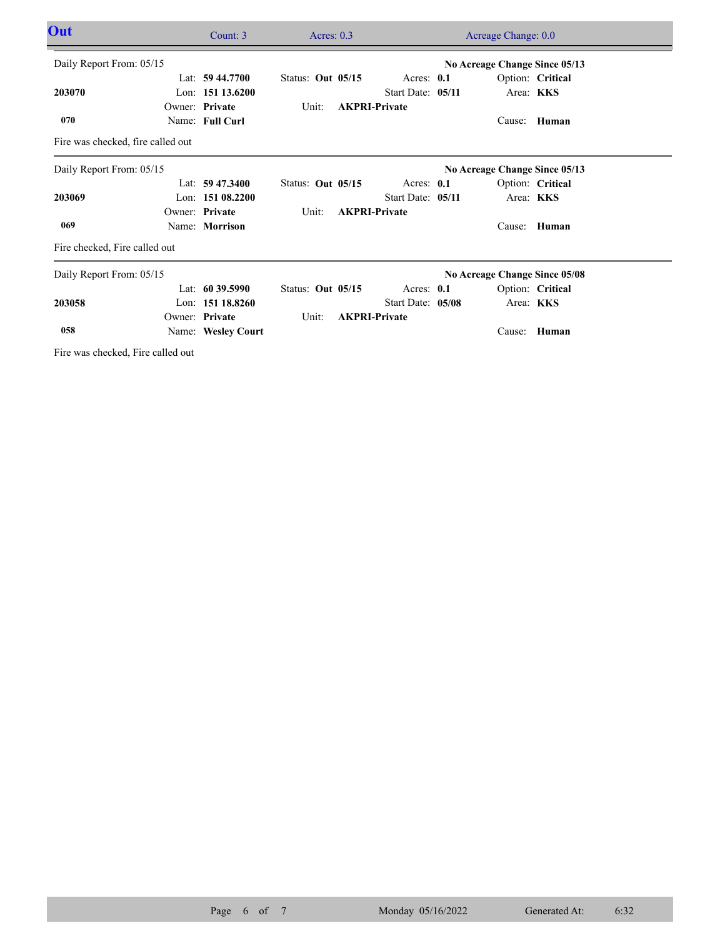| Out                               | Count: 3           | Acres: $0.3$      |                      | Acreage Change: 0.0           |                  |  |
|-----------------------------------|--------------------|-------------------|----------------------|-------------------------------|------------------|--|
| Daily Report From: 05/15          |                    |                   |                      | No Acreage Change Since 05/13 |                  |  |
|                                   | Lat: $59\,44.7700$ | Status: Out 05/15 | Acres: 0.1           |                               | Option: Critical |  |
| 203070                            | Lon: $15113.6200$  |                   | Start Date: 05/11    |                               | Area: KKS        |  |
|                                   | Owner: Private     | Unit:             | <b>AKPRI-Private</b> |                               |                  |  |
| 070                               | Name: Full Curl    |                   |                      | Cause:                        | Human            |  |
| Fire was checked, fire called out |                    |                   |                      |                               |                  |  |
| Daily Report From: 05/15          |                    |                   |                      | No Acreage Change Since 05/13 |                  |  |
|                                   | Lat: $59\,47.3400$ | Status: Out 05/15 | Acres: 0.1           |                               | Option: Critical |  |
| 203069                            | Lon: $15108.2200$  |                   | Start Date: 05/11    |                               | Area: KKS        |  |
|                                   | Owner: Private     | Unit:             | <b>AKPRI-Private</b> |                               |                  |  |
| 069                               | Name: Morrison     |                   |                      | Cause:                        | Human            |  |
| Fire checked, Fire called out     |                    |                   |                      |                               |                  |  |
| Daily Report From: 05/15          |                    |                   |                      | No Acreage Change Since 05/08 |                  |  |
|                                   | Lat: $60\,39.5990$ | Status: Out 05/15 | Acres: 0.1           |                               | Option: Critical |  |
| 203058                            | Lon: 151 18.8260   |                   | Start Date: 05/08    |                               | Area: KKS        |  |
|                                   | Owner: Private     | Unit:             | <b>AKPRI-Private</b> |                               |                  |  |
| 058                               | Name: Wesley Court |                   |                      | Cause:                        | Human            |  |
|                                   |                    |                   |                      |                               |                  |  |

Fire was checked, Fire called out